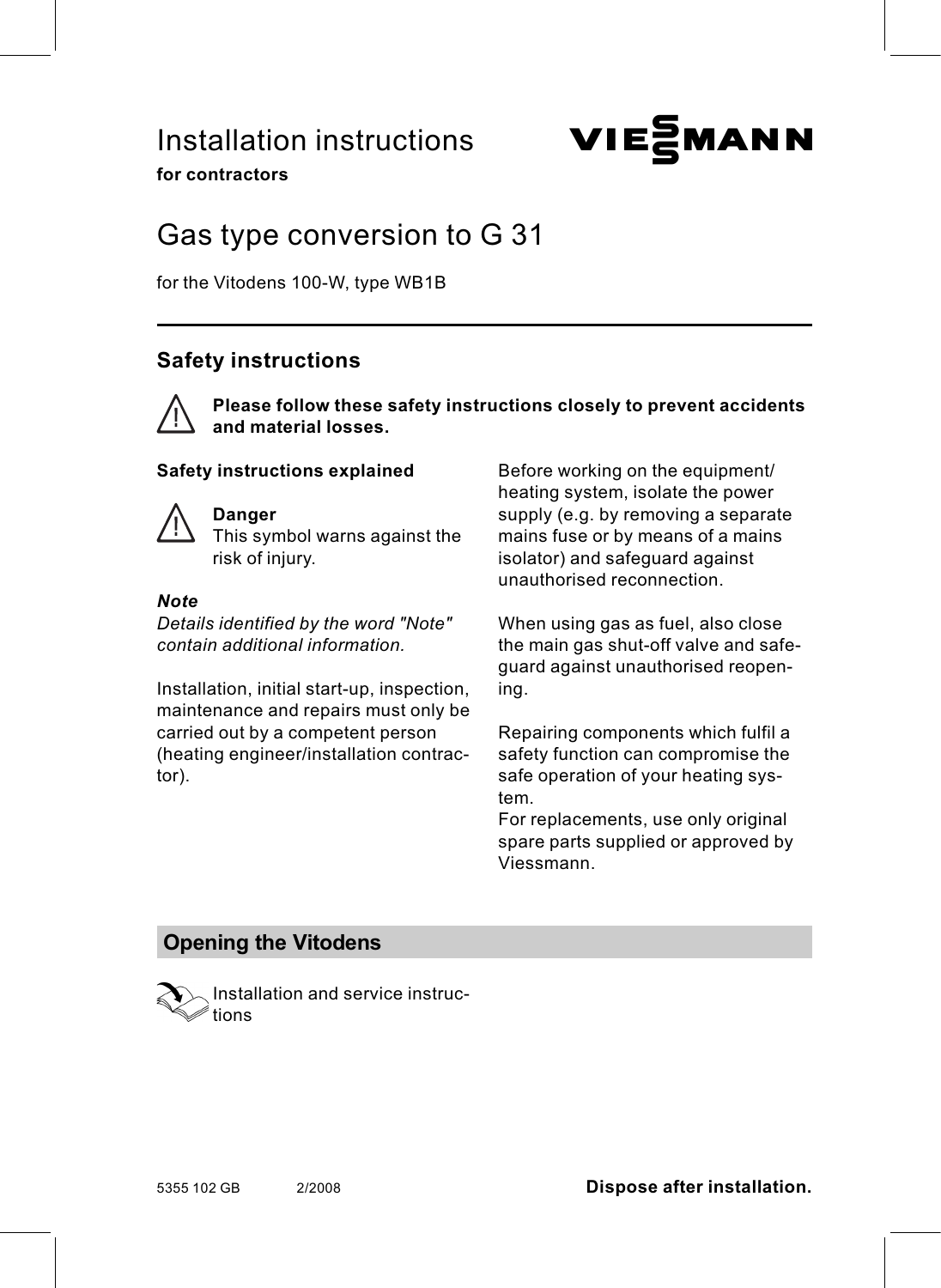# Installation instructions **VIESMANN**

for contractors

# Gas type conversion to G 31

for the Vitodens 100-W, type WB1B

# Safety instructions



Please follow these safety instructions closely to prevent accidents and material losses.

#### Safety instructions explained



#### Danger

This symbol warns against the risk of injury.

#### **Note**

Details identified by the word "Note" contain additional information.

Installation, initial start-up, inspection, maintenance and repairs must only be carried out by a competent person (heating engineer/installation contractor).

Before working on the equipment/ heating system, isolate the power supply (e.g. by removing a separate mains fuse or by means of a mains isolator) and safeguard against unauthorised reconnection.

When using gas as fuel, also close the main gas shut-off valve and safeguard against unauthorised reopening.

Repairing components which fulfil a safety function can compromise the safe operation of your heating system.

For replacements, use only original spare parts supplied or approved by Viessmann.

### Opening the Vitodens



Installation and service instructions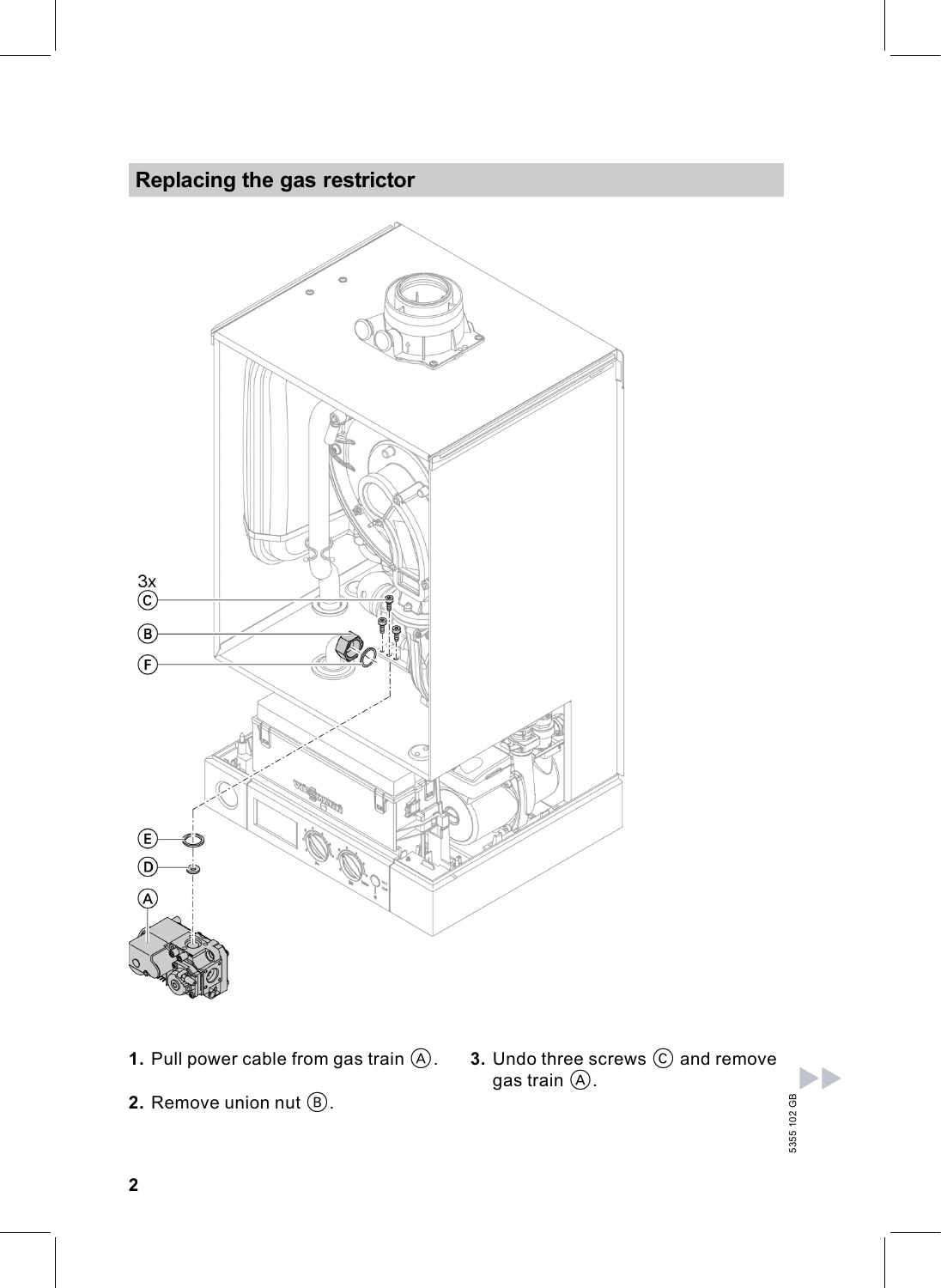# Replacing the gas restrictor



- 1. Pull power cable from gas train  $(A)$ .
- **2.** Remove union nut  $(\mathbb{B})$ .

**3.** Undo three screws  $\odot$  and remove gas train  $\circledA.$ 5355 102 GB

5355 102 GB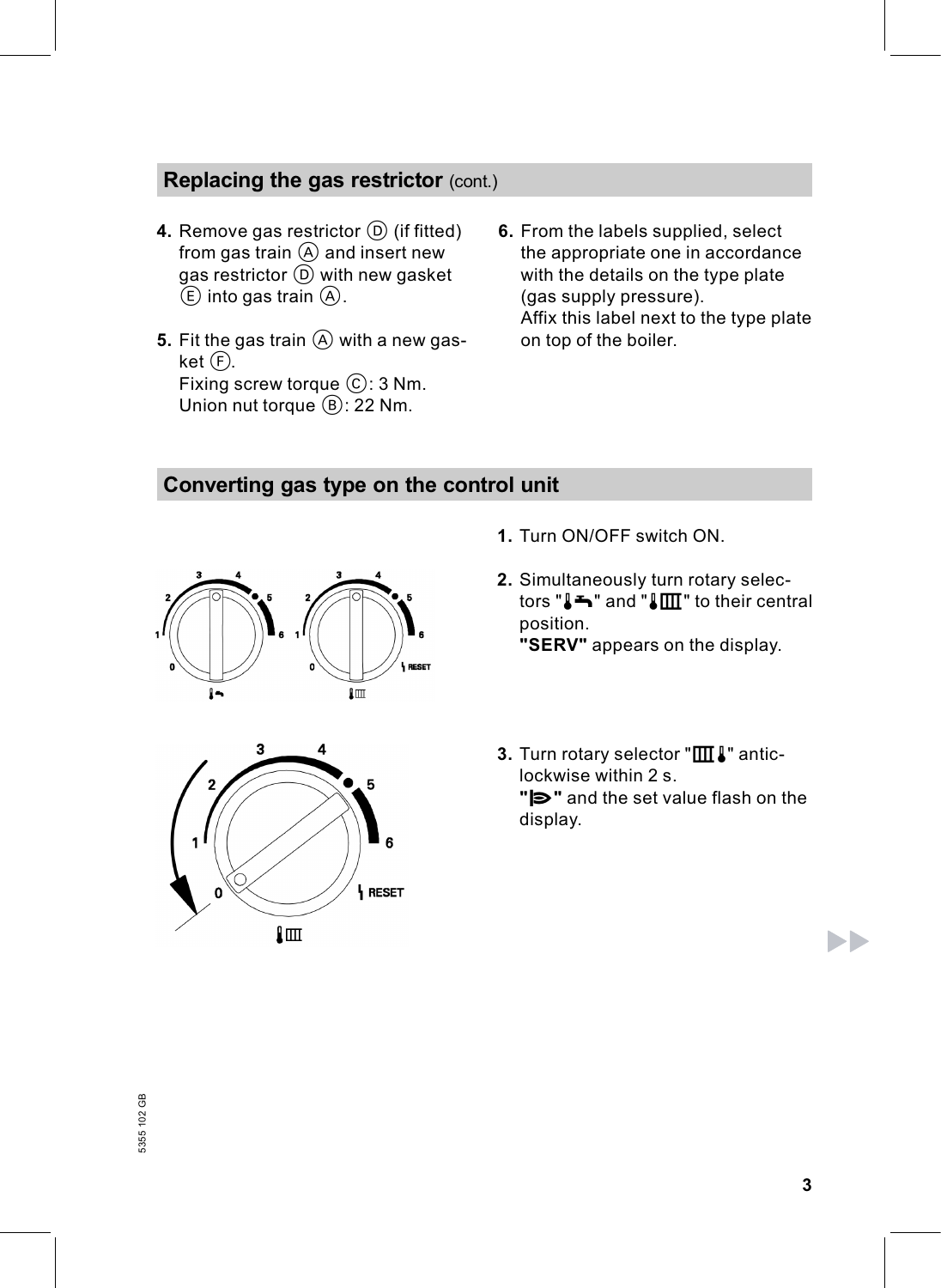## Replacing the gas restrictor (cont.)

- 4. Remove gas restrictor  $(D)$  (if fitted) from gas train  $\overline{A}$  and insert new gas restrictor  $\textcircled{\scriptsize{D}}}$  with new gasket  $(E)$  into gas train  $(A)$ .
- 5. Fit the gas train  $(A)$  with a new gasket $(F)$ . Fixing screw torque  $\mathbb{C}$ : 3 Nm. Union nut torque  $(B)$ : 22 Nm.
- 6. From the labels supplied, select the appropriate one in accordance with the details on the type plate (gas supply pressure). Affix this label next to the type plate on top of the boiler.

#### Converting gas type on the control unit





- 1. Turn ON/OFF switch ON.
- 2. Simultaneously turn rotary selectors " $\blacktriangleright$ " and " $\blacktriangleright$   $\blacksquare$ " to their central position. "SERV" appears on the display.
- 3. Turn rotary selector " $\text{III}$   $\text{I}$ " anticlockwise within 2 s.  $"\triangleright"$  and the set value flash on the display.

ÞÞ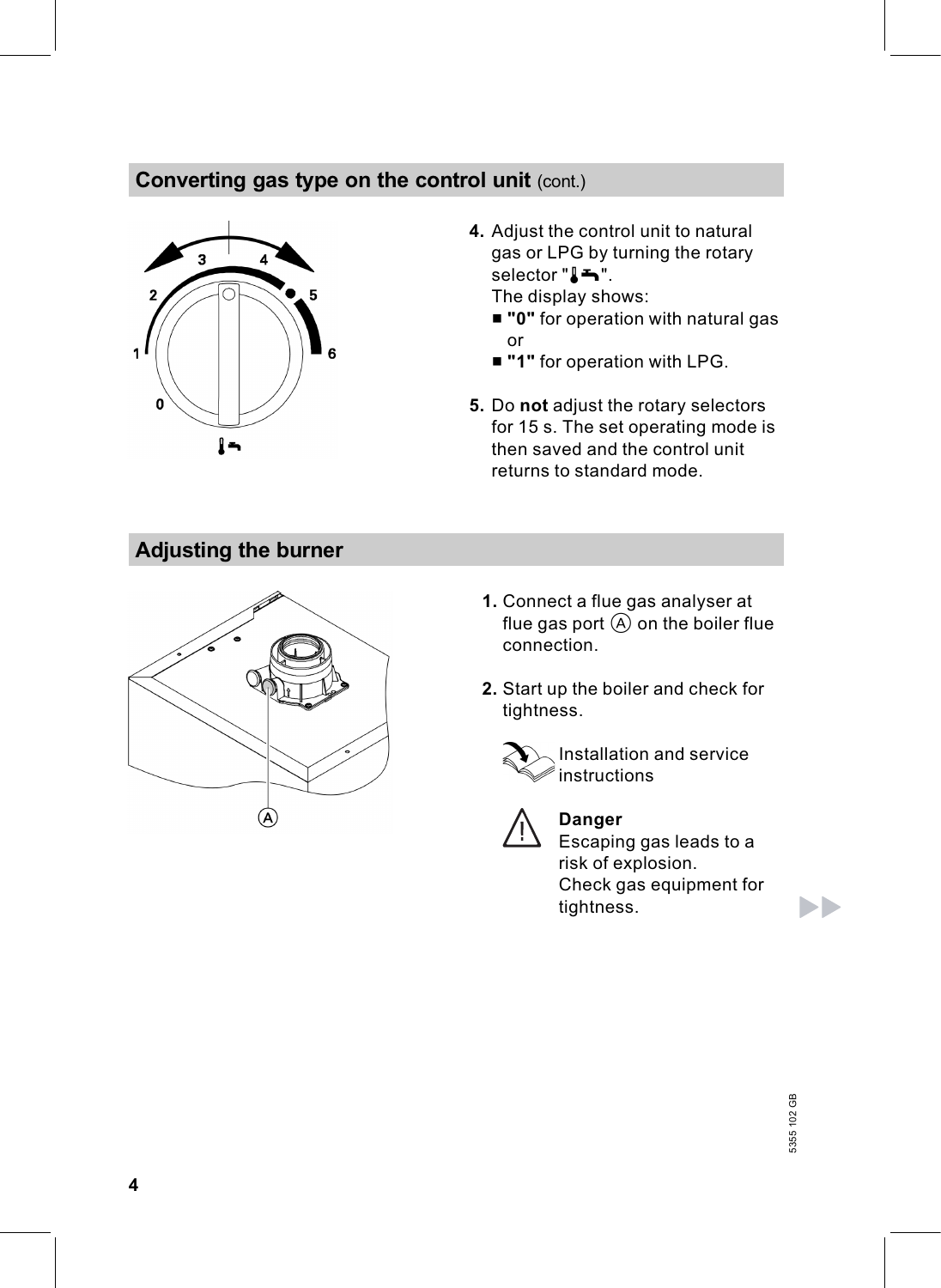## Converting gas type on the control unit (cont.)



4. Adjust the control unit to natural gas or LPG by turning the rotary selector " $\blacktriangleright$ ".

The display shows:

- "0" for operation with natural gas or
- "1" for operation with LPG.
- 5. Do not adjust the rotary selectors for 15 s. The set operating mode is then saved and the control unit returns to standard mode.

# Adjusting the burner



- 1. Connect a flue gas analyser at flue gas port  $\overline{A}$  on the boiler flue connection.
- 2. Start up the boiler and check for tightness.





Danger Escaping gas leads to a

risk of explosion. Check gas equipment for tightness.

ÞÞ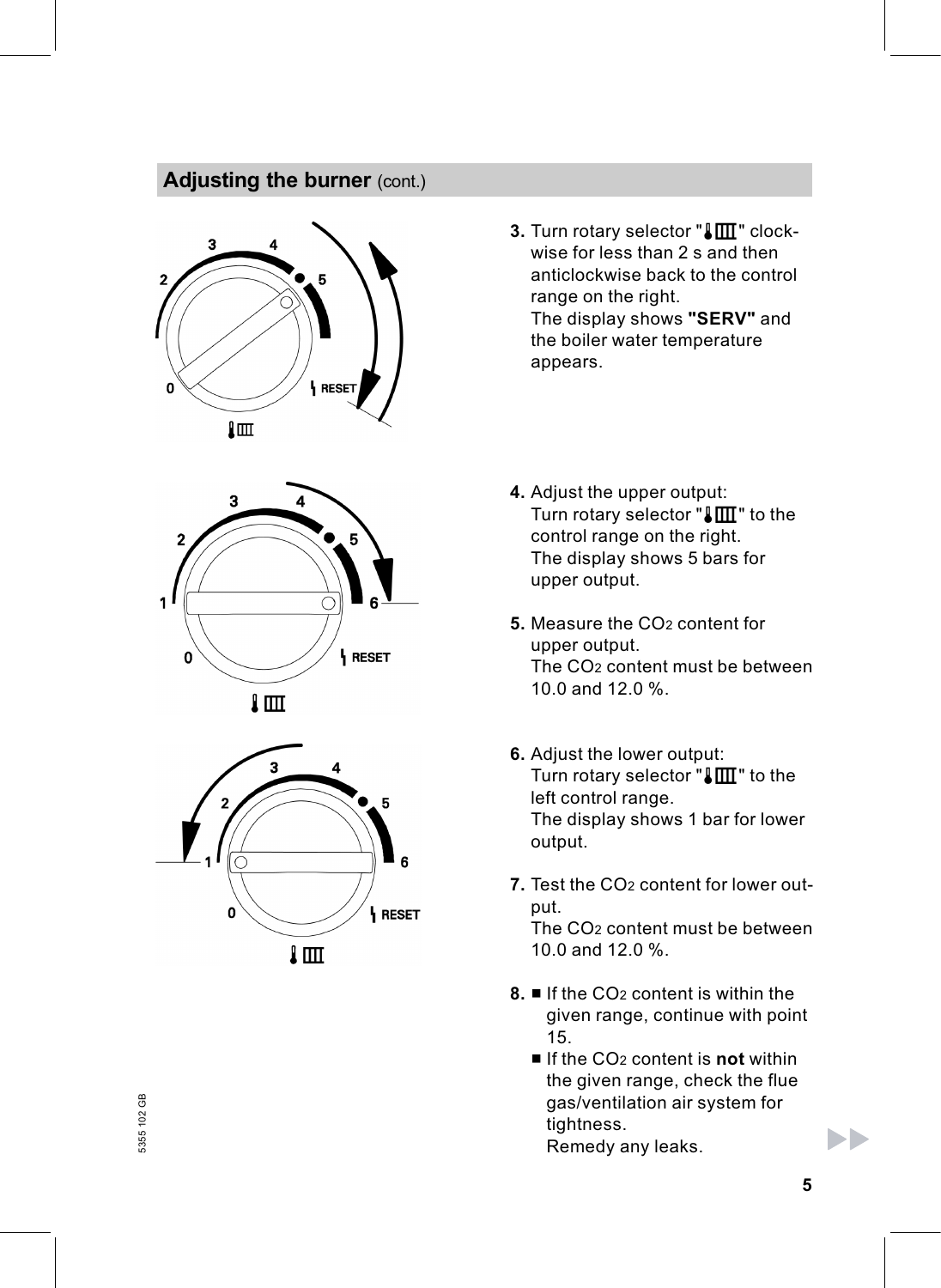#### Adjusting the burner (cont.)





- 3. Turn rotary selector " $\sqrt{\frac{1}{1}}$  " clockwise for less than 2 s and then anticlockwise back to the control range on the right. The display shows "SERV" and the boiler water temperature appears.
- 4. Adjust the upper output: Turn rotary selector " $\sqrt{\mathbb{III}}$ " to the control range on the right. The display shows 5 bars for upper output.
- 5. Measure the CO<sub>2</sub> content for upper output. The CO2 content must be between 10.0 and 12.0 %.
- 6. Adjust the lower output: Turn rotary selector " $\llbracket \text{III} \rrbracket$ " to the left control range. The display shows 1 bar for lower output.
- 7. Test the CO2 content for lower output. The CO2 content must be between

10.0 and 12.0 %.

- 8.  $\blacksquare$  If the CO<sub>2</sub> content is within the given range, continue with point 15.
	- $\blacksquare$  If the CO<sub>2</sub> content is **not** within the given range, check the flue gas/ventilation air system for tightness. Remedy any leaks.

ЬÞ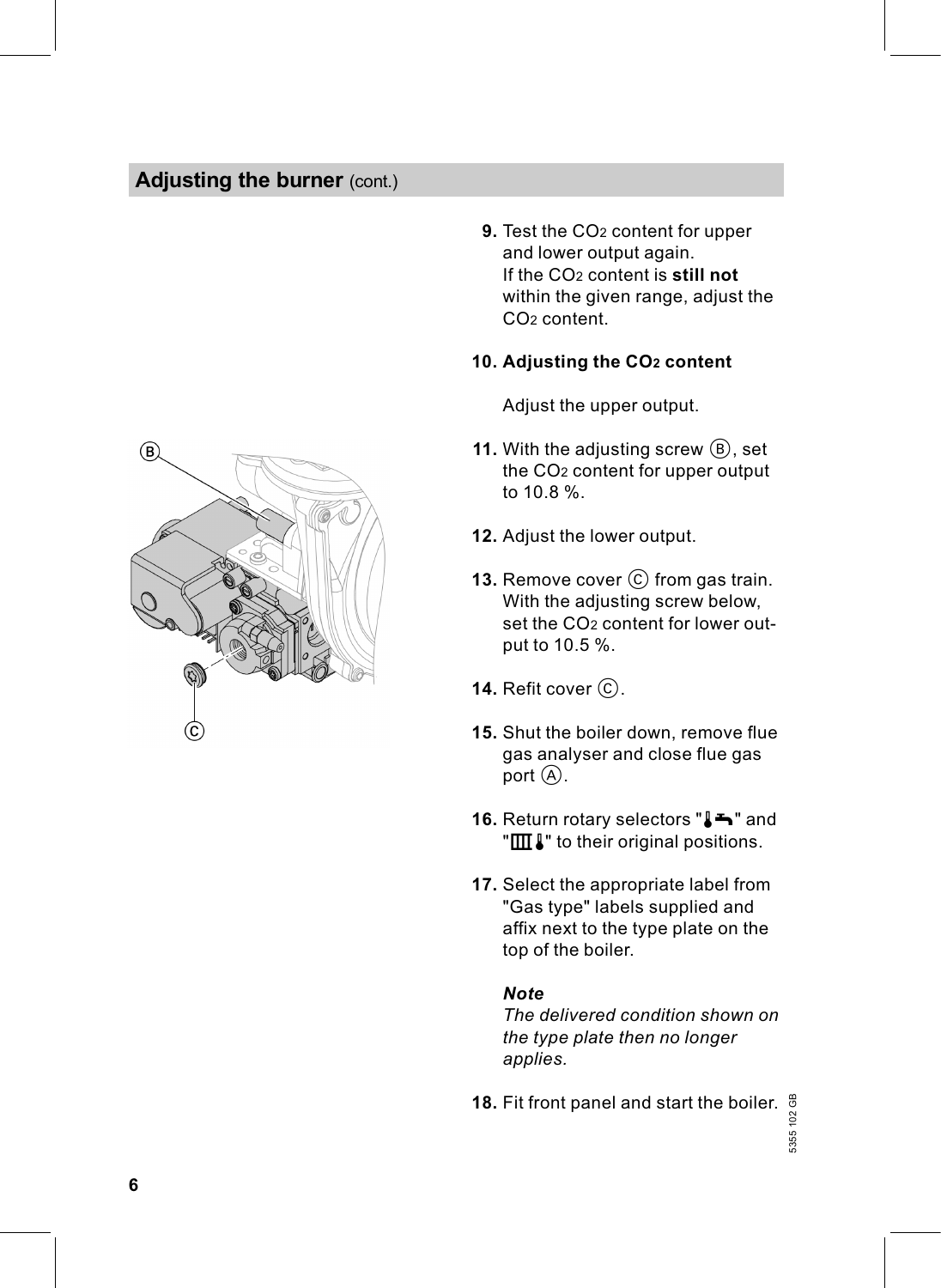#### Adjusting the burner (cont.)



9. Test the CO2 content for upper and lower output again. If the CO<sub>2</sub> content is still not within the given range, adjust the CO2 content.

#### 10. Adjusting the CO2 content

Adjust the upper output.

- 11. With the adjusting screw  $(B)$ , set the CO2 content for upper output to 10.8 %.
- 12. Adjust the lower output.
- **13.** Remove cover  $\odot$  from gas train. With the adjusting screw below, set the CO<sub>2</sub> content for lower output to 10.5 %.
- 14. Refit cover  $\mathcal{C}$ .
- 15. Shut the boiler down, remove flue gas analyser and close flue gas port  $(A)$ .
- 16. Return rotary selectors " $\blacktriangleright$ " and " $III$ . to their original positions.
- 17. Select the appropriate label from "Gas type" labels supplied and affix next to the type plate on the top of the boiler.

#### **Note**

The delivered condition shown on the type plate then no longer applies.

**18.** Fit front panel and start the boiler.  $\frac{\omega}{\omega}$